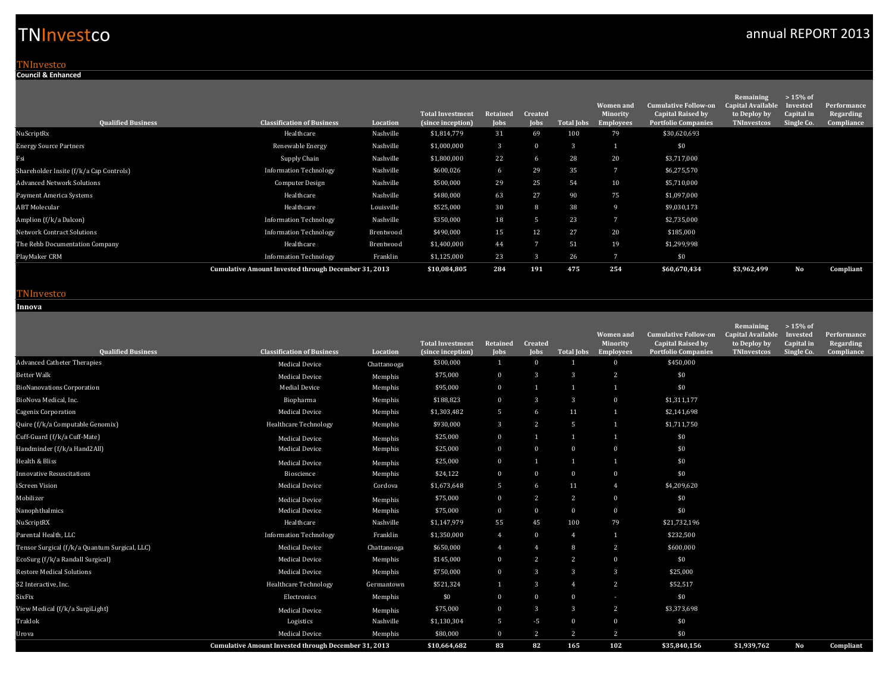## **TNInvestco**

#### TNInvestco

**Council & Enhanced**

|                                         |                                                             |            |                                              |                  |                        |                   | <b>Women</b> and             | <b>Cumulative Follow-on</b>                            | Remaining<br><b>Capital Available</b> | $>15\%$ of<br>Invested   | Performance             |
|-----------------------------------------|-------------------------------------------------------------|------------|----------------------------------------------|------------------|------------------------|-------------------|------------------------------|--------------------------------------------------------|---------------------------------------|--------------------------|-------------------------|
| <b>Qualified Business</b>               | <b>Classification of Business</b>                           | Location   | <b>Total Investment</b><br>(since inception) | Retained<br>Jobs | Created<br><b>Jobs</b> | <b>Total Jobs</b> | Minority<br><b>Employees</b> | <b>Capital Raised by</b><br><b>Portfolio Companies</b> | to Deploy by<br><b>TNInvestcos</b>    | Capital in<br>Single Co. | Regarding<br>Compliance |
| NuScriptRx                              | Healthcare                                                  | Nashville  | \$1,814,779                                  | 31               | 69                     | 100               | 79                           | \$30,620,693                                           |                                       |                          |                         |
| <b>Energy Source Partners</b>           | Renewable Energy                                            | Nashville  | \$1,000,000                                  | 3                | $\Omega$               | 3                 |                              | \$0                                                    |                                       |                          |                         |
| Fsi                                     | Supply Chain                                                | Nashville  | \$1,800,000                                  | 22               | 6.6                    | 28                | 20                           | \$3,717,000                                            |                                       |                          |                         |
| Shareholder Insite (f/k/a Cap Controls) | <b>Information Technology</b>                               | Nashville  | \$600,026                                    | 6                | 29                     | 35                |                              | \$6,275,570                                            |                                       |                          |                         |
| <b>Advanced Network Solutions</b>       | <b>Computer Design</b>                                      | Nashville  | \$500,000                                    | 29               | 25                     | 54                | 10                           | \$5,710,000                                            |                                       |                          |                         |
| Payment America Systems                 | Healthcare                                                  | Nashville  | \$480,000                                    | 63               | 27                     | 90                | 75                           | \$1,097,000                                            |                                       |                          |                         |
| ABT Molecular                           | Healthcare                                                  | Louisville | \$525,000                                    | 30               | 8                      | 38                |                              | \$9,030,173                                            |                                       |                          |                         |
| Amplion (f/k/a Dalcon)                  | <b>Information Technology</b>                               | Nashville  | \$350,000                                    | 18               | - 5                    | 23                |                              | \$2,735,000                                            |                                       |                          |                         |
| <b>Network Contract Solutions</b>       | <b>Information Technology</b>                               | Brentwood  | \$490,000                                    | 15               | 12                     | 27                | 20                           | \$185,000                                              |                                       |                          |                         |
| The Rehb Documentation Company          | Healthcare                                                  | Brentwood  | \$1,400,000                                  | 44               | $\overline{7}$         | 51                | 19                           | \$1,299,998                                            |                                       |                          |                         |
| PlayMaker CRM                           | <b>Information Technology</b>                               | Franklin   | \$1,125,000                                  | 23               | -3                     | 26                | -7                           | \$0                                                    |                                       |                          |                         |
|                                         | <b>Cumulative Amount Invested through December 31, 2013</b> |            | \$10,084,805                                 | 284              | 191                    | 475               | 254                          | \$60,670,434                                           | \$3,962,499                           | No                       | Compliant               |

#### TNInvestco

**Innova**

| <b>Qualified Business</b>                     | <b>Classification of Business</b>                    | Location           | <b>Total Investment</b><br>(since inception) | Retained<br>Jobs | Created<br><b>Jobs</b> | <b>Total Jobs</b> | <b>Women</b> and<br>Minority<br><b>Employees</b> | <b>Cumulative Follow-on</b><br><b>Capital Raised by</b><br><b>Portfolio Companies</b> | Remaining<br>Capital Available<br>to Deploy by<br><b>TNInvestcos</b> | $>15\%$ of<br>Invested<br>Capital in<br>Single Co. | Performance<br>Regarding<br>Compliance |
|-----------------------------------------------|------------------------------------------------------|--------------------|----------------------------------------------|------------------|------------------------|-------------------|--------------------------------------------------|---------------------------------------------------------------------------------------|----------------------------------------------------------------------|----------------------------------------------------|----------------------------------------|
| <b>Advanced Catheter Therapies</b>            | <b>Medical Device</b>                                | Chattanooga        | \$300,000                                    | 1                | $\mathbf{0}$           | $\blacksquare$    | $\mathbf{0}$                                     | \$450,000                                                                             |                                                                      |                                                    |                                        |
| <b>Better Walk</b>                            | <b>Medical Device</b>                                |                    | \$75,000                                     | $\bf{0}$         | $\overline{3}$         | 3                 | 2                                                | \$0                                                                                   |                                                                      |                                                    |                                        |
| <b>BioNanovations Corporation</b>             | <b>Medial Device</b>                                 | Memphis<br>Memphis | \$95,000                                     | $\bf{0}$         | $\blacksquare$         | $\blacksquare$    | 1                                                | \$0                                                                                   |                                                                      |                                                    |                                        |
| BioNova Medical, Inc.                         | Biopharma                                            | Memphis            | \$188,823                                    | $\bf{0}$         | $\overline{3}$         | 3                 | $\mathbf{0}$                                     | \$1,311,177                                                                           |                                                                      |                                                    |                                        |
| Cagenix Corporation                           | <b>Medical Device</b>                                | Memphis            | \$1,303,482                                  | 5                | 6                      | 11                | 1                                                | \$2,141,698                                                                           |                                                                      |                                                    |                                        |
| Quire (f/k/a Computable Genomix)              | <b>Healthcare Technology</b>                         | Memphis            | \$930,000                                    | 3                | 2                      | 5                 | 1                                                | \$1,711,750                                                                           |                                                                      |                                                    |                                        |
| Cuff-Guard (f/k/a Cuff-Mate)                  |                                                      |                    | \$25,000                                     | $\bf{0}$         | $\blacksquare$         | $\blacksquare$    | 1                                                | \$0                                                                                   |                                                                      |                                                    |                                        |
| Handminder (f/k/a Hand2All)                   | <b>Medical Device</b><br><b>Medical Device</b>       | Memphis<br>Memphis | \$25,000                                     | $\bf{0}$         | $\mathbf{0}$           | $\mathbf{0}$      | $\mathbf{0}$                                     | \$0                                                                                   |                                                                      |                                                    |                                        |
| Health & Bliss                                |                                                      |                    | \$25,000                                     | $\bf{0}$         | $\overline{1}$         | $\overline{1}$    | 1                                                | \$0                                                                                   |                                                                      |                                                    |                                        |
|                                               | <b>Medical Device</b>                                | Memphis            |                                              |                  |                        |                   |                                                  |                                                                                       |                                                                      |                                                    |                                        |
| <b>Innovative Resuscitations</b>              | Bioscience                                           | Memphis            | \$24,122                                     | $\bf{0}$         | $\mathbf{0}$           | $\mathbf{0}$      | $\mathbf{0}$                                     | \$0                                                                                   |                                                                      |                                                    |                                        |
| iScreen Vision                                | <b>Medical Device</b>                                | Cordova            | \$1,673,648                                  | 5                | 6                      | 11                | $\overline{4}$                                   | \$4,209,620                                                                           |                                                                      |                                                    |                                        |
| Mobilizer                                     | <b>Medical Device</b>                                | Memphis            | \$75,000                                     | $\bf{0}$         | 2                      | 2                 | $\mathbf{0}$                                     | \$0                                                                                   |                                                                      |                                                    |                                        |
| Nanophthalmics                                | <b>Medical Device</b>                                | Memphis            | \$75,000                                     | $\mathbf 0$      | $\mathbf{0}$           | $\mathbf{0}$      | $\bf{0}$                                         | \$0                                                                                   |                                                                      |                                                    |                                        |
| NuScriptRX                                    | Healthcare                                           | Nashville          | \$1,147,979                                  | 55               | 45                     | 100               | 79                                               | \$21,732,196                                                                          |                                                                      |                                                    |                                        |
| Parental Health, LLC                          | <b>Information Technology</b>                        | Franklin           | \$1,350,000                                  | $\overline{4}$   | $\mathbf{0}$           | $\overline{4}$    | 1                                                | \$232,500                                                                             |                                                                      |                                                    |                                        |
| Tensor Surgical (f/k/a Quantum Surgical, LLC) | <b>Medical Device</b>                                | Chattanooga        | \$650,000                                    | $\overline{4}$   | $\overline{4}$         | 8                 | 2                                                | \$600,000                                                                             |                                                                      |                                                    |                                        |
| EcoSurg (f/k/a Randall Surgical)              | Medical Device                                       | Memphis            | \$145,000                                    | $\bf{0}$         | 2                      | 2                 | $\bf{0}$                                         | \$0                                                                                   |                                                                      |                                                    |                                        |
| <b>Restore Medical Solutions</b>              | <b>Medical Device</b>                                | Memphis            | \$750,000                                    | $\mathbf{0}$     | $\overline{3}$         | 3                 | 3                                                | \$25,000                                                                              |                                                                      |                                                    |                                        |
| S2 Interactive, Inc.                          | <b>Healthcare Technology</b>                         | Germantown         | \$521,324                                    | 1                | 3                      | $\overline{4}$    | 2                                                | \$52,517                                                                              |                                                                      |                                                    |                                        |
| <b>SixFix</b>                                 | Electronics                                          | Memphis            | \$0                                          | $\mathbf 0$      | $\mathbf{0}$           | $\mathbf{0}$      | ı                                                | \$0                                                                                   |                                                                      |                                                    |                                        |
| View Medical (f/k/a SurgiLight)               | <b>Medical Device</b>                                | Memphis            | \$75,000                                     | $\bf{0}$         | $\overline{3}$         | 3                 | 2                                                | \$3,373,698                                                                           |                                                                      |                                                    |                                        |
| Traklok                                       | Logistics                                            | Nashville          | \$1,130,304                                  | 5                | $-5$                   | $\mathbf{0}$      | $\bf{0}$                                         | \$0                                                                                   |                                                                      |                                                    |                                        |
| Urova                                         | Medical Device                                       | Memphis            | \$80,000                                     | $\bf{0}$         | 2                      | 2                 | 2                                                | \$0                                                                                   |                                                                      |                                                    |                                        |
|                                               | Cumulative Amount Invested through December 31, 2013 |                    | \$10,664,682                                 | 83               | 82                     | 165               | 102                                              | \$35,840,156                                                                          | \$1,939,762                                                          | No                                                 | Compliant                              |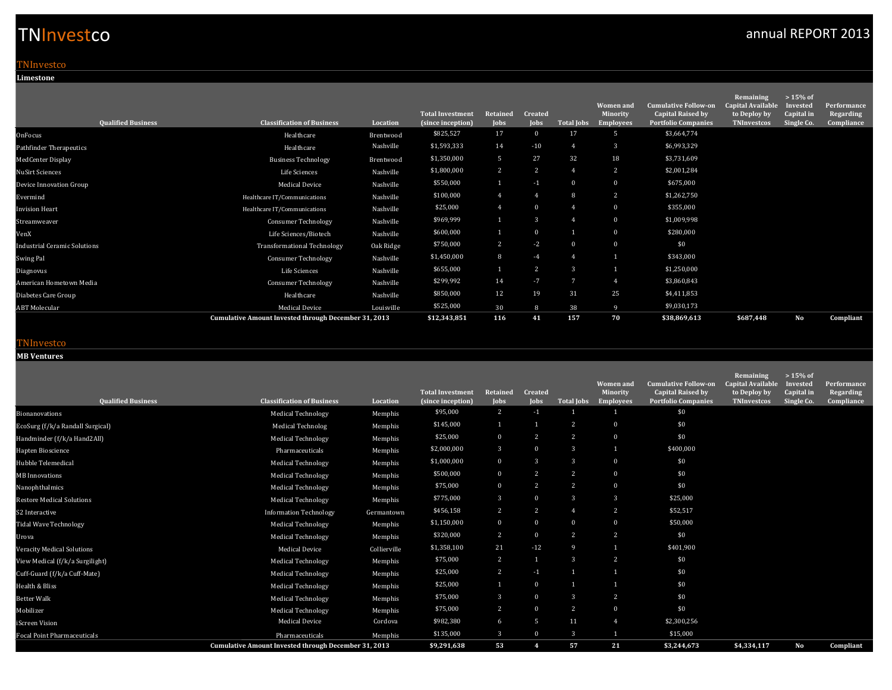TNInvestco **Limestone**

| <b>Qualified Business</b>           | <b>Classification of Business</b>                           | Location   | <b>Total Investment</b><br>(since inception) | Retained<br>Jobs | Created<br><b>Tobs</b> | <b>Total Jobs</b> | <b>Women</b> and<br>Minority<br><b>Employees</b> | <b>Cumulative Follow-on</b><br><b>Capital Raised by</b><br><b>Portfolio Companies</b> | Remaining<br><b>Capital Available</b><br>to Deploy by<br><b>TNInvestcos</b> | $>15\%$ of<br>Invested<br>Capital in<br>Single Co. | Performance<br>Regarding<br>Compliance |
|-------------------------------------|-------------------------------------------------------------|------------|----------------------------------------------|------------------|------------------------|-------------------|--------------------------------------------------|---------------------------------------------------------------------------------------|-----------------------------------------------------------------------------|----------------------------------------------------|----------------------------------------|
| OnFocus                             | Healthcare                                                  | Brentwood  | \$825,527                                    | 17               | $\Omega$               | 17                | - 5                                              | \$3,664,774                                                                           |                                                                             |                                                    |                                        |
| Pathfinder Therapeutics             | Healthcare                                                  | Nashville  | \$1,593,333                                  | 14               | $-10$                  |                   | -3                                               | \$6,993,329                                                                           |                                                                             |                                                    |                                        |
| MedCenter Display                   | <b>Business Technology</b>                                  | Brentwood  | \$1,350,000                                  | 5                | 27                     | 32                | 18                                               | \$3,731,609                                                                           |                                                                             |                                                    |                                        |
| <b>NuSirt Sciences</b>              | Life Sciences                                               | Nashville  | \$1,800,000                                  | $\overline{2}$   | $\mathbf{2}$           |                   | 2                                                | \$2,001,284                                                                           |                                                                             |                                                    |                                        |
| Device Innovation Group             | <b>Medical Device</b>                                       | Nashville  | \$550,000                                    |                  | $-1$                   | $\mathbf{0}$      | $\mathbf{0}$                                     | \$675,000                                                                             |                                                                             |                                                    |                                        |
| Evermind                            | Healthcare IT/Communications                                | Nashville  | \$100,000                                    | $\overline{4}$   |                        | 8                 | 2                                                | \$1,262,750                                                                           |                                                                             |                                                    |                                        |
| <b>Invision Heart</b>               | Healthcare IT/Communications                                | Nashville  | \$25,000                                     | $\overline{4}$   | $\mathbf{0}$           |                   | $\mathbf{0}$                                     | \$355,000                                                                             |                                                                             |                                                    |                                        |
| Streamweaver                        | <b>Consumer Technology</b>                                  | Nashville  | \$969,999                                    |                  | 3                      |                   | $\mathbf{0}$                                     | \$1,009,998                                                                           |                                                                             |                                                    |                                        |
| VenX                                | Life Sciences/Biotech                                       | Nashville  | \$600,000                                    | 1                | $\mathbf{0}$           |                   | $\mathbf{0}$                                     | \$280,000                                                                             |                                                                             |                                                    |                                        |
| <b>Industrial Ceramic Solutions</b> | <b>Transformational Technology</b>                          | Oak Ridge  | \$750,000                                    | $\overline{2}$   | $-2$                   | $\Omega$          | $\bf{0}$                                         | \$0                                                                                   |                                                                             |                                                    |                                        |
| Swing Pal                           | <b>Consumer Technology</b>                                  | Nashville  | \$1,450,000                                  | 8                | $-4$                   |                   |                                                  | \$343,000                                                                             |                                                                             |                                                    |                                        |
| Diagnovus                           | Life Sciences                                               | Nashville  | \$655,000                                    | 1                | <sup>2</sup>           | 3                 |                                                  | \$1,250,000                                                                           |                                                                             |                                                    |                                        |
| American Hometown Media             | <b>Consumer Technology</b>                                  | Nashville  | \$299,992                                    | 14               | $-7$                   | 7                 | -4                                               | \$3,860,843                                                                           |                                                                             |                                                    |                                        |
| Diabetes Care Group                 | Healthcare                                                  | Nashville  | \$850,000                                    | 12               | 19                     | 31                | 25                                               | \$4,411,853                                                                           |                                                                             |                                                    |                                        |
| <b>ABT</b> Molecular                | Medical Device                                              | Louisville | \$525,000                                    | 30               | 8                      | 38                | 9                                                | \$9,030,173                                                                           |                                                                             |                                                    |                                        |
|                                     | <b>Cumulative Amount Invested through December 31, 2013</b> |            | \$12,343,851                                 | 116              | 41                     | 157               | 70 <sub>1</sub>                                  | \$38,869,613                                                                          | \$687,448                                                                   | No                                                 | Compliant                              |

#### TNInvestco

**MB Ventures**

| <b>Qualified Business</b>          | <b>Classification of Business</b>                           | Location     | <b>Total Investment</b><br>(since inception) | Retained<br>Jobs | <b>Created</b><br><b>Jobs</b> | <b>Total Jobs</b> | <b>Women</b> and<br>Minority<br><b>Employees</b> | <b>Cumulative Follow-on</b><br><b>Capital Raised by</b><br><b>Portfolio Companies</b> | Remaining<br><b>Capital Available</b><br>to Deploy by<br><b>TNInvestcos</b> | $>15\%$ of<br>Invested<br>Capital in<br>Single Co. | Performance<br>Regarding<br>Compliance |
|------------------------------------|-------------------------------------------------------------|--------------|----------------------------------------------|------------------|-------------------------------|-------------------|--------------------------------------------------|---------------------------------------------------------------------------------------|-----------------------------------------------------------------------------|----------------------------------------------------|----------------------------------------|
| <b>Bionanovations</b>              | <b>Medical Technology</b>                                   | Memphis      | \$95,000                                     | 2                | $-1$                          |                   |                                                  | \$0                                                                                   |                                                                             |                                                    |                                        |
| EcoSurg (f/k/a Randall Surgical)   | <b>Medical Technolog</b>                                    | Memphis      | \$145,000                                    | $\overline{1}$   | $\blacksquare$                | 2                 | $\bf{0}$                                         | \$0                                                                                   |                                                                             |                                                    |                                        |
| Handminder (f/k/a Hand2All)        | <b>Medical Technology</b>                                   | Memphis      | \$25,000                                     | $\mathbf{0}$     | 2                             | 2                 | $\mathbf{0}$                                     | \$0                                                                                   |                                                                             |                                                    |                                        |
| Hapten Bioscience                  | Pharmaceuticals                                             | Memphis      | \$2,000,000                                  | 3                | $\theta$                      | 3                 |                                                  | \$400,000                                                                             |                                                                             |                                                    |                                        |
| Hubble Telemedical                 | <b>Medical Technology</b>                                   | Memphis      | \$1,000,000                                  | $\bf{0}$         | 3                             | 3                 | $\bf{0}$                                         | \$0                                                                                   |                                                                             |                                                    |                                        |
| <b>MB</b> Innovations              | <b>Medical Technology</b>                                   | Memphis      | \$500,000                                    | $\bf{0}$         | 2                             | 2                 | $\mathbf 0$                                      | \$0                                                                                   |                                                                             |                                                    |                                        |
| Nanophthalmics                     | <b>Medical Technology</b>                                   | Memphis      | \$75,000                                     | $\bf{0}$         | 2                             | 2                 | $\mathbf{0}$                                     | \$0                                                                                   |                                                                             |                                                    |                                        |
| <b>Restore Medical Solutions</b>   | <b>Medical Technology</b>                                   | Memphis      | \$775,000                                    | 3                | $\theta$                      | 3                 | 3                                                | \$25,000                                                                              |                                                                             |                                                    |                                        |
| S2 Interactive                     | <b>Information Technology</b>                               | Germantown   | \$456,158                                    | 2                | 2                             | $\overline{4}$    | 2                                                | \$52,517                                                                              |                                                                             |                                                    |                                        |
| <b>Tidal Wave Technology</b>       | <b>Medical Technology</b>                                   | Memphis      | \$1,150,000                                  | $\bf{0}$         | $\Omega$                      | $\mathbf{0}$      | $\bf{0}$                                         | \$50,000                                                                              |                                                                             |                                                    |                                        |
| Urova                              | <b>Medical Technology</b>                                   | Memphis      | \$320,000                                    | 2                | $\Omega$                      | 2                 | 2                                                | \$0                                                                                   |                                                                             |                                                    |                                        |
| Veracity Medical Solutions         | Medical Device                                              | Collierville | \$1,358,100                                  | 21               | $-12$                         | 9                 |                                                  | \$401,900                                                                             |                                                                             |                                                    |                                        |
| View Medical (f/k/a Surgilight)    | <b>Medical Technology</b>                                   | Memphis      | \$75,000                                     | 2                |                               | 3                 | 2                                                | \$0                                                                                   |                                                                             |                                                    |                                        |
| Cuff-Guard (f/k/a Cuff-Mate)       | <b>Medical Technology</b>                                   | Memphis      | \$25,000                                     | $\overline{c}$   | $-1$                          |                   |                                                  | \$0                                                                                   |                                                                             |                                                    |                                        |
| Health & Bliss                     | <b>Medical Technology</b>                                   | Memphis      | \$25,000                                     | $\overline{1}$   | $\Omega$                      |                   |                                                  | \$0                                                                                   |                                                                             |                                                    |                                        |
| <b>Better Walk</b>                 | <b>Medical Technology</b>                                   | Memphis      | \$75,000                                     | 3                | $\theta$                      | 3                 | 2                                                | \$0                                                                                   |                                                                             |                                                    |                                        |
| Mobilizer                          | <b>Medical Technology</b>                                   | Memphis      | \$75,000                                     | 2                | $\theta$                      | 2                 | $\mathbf 0$                                      | \$0                                                                                   |                                                                             |                                                    |                                        |
| iScreen Vision                     | <b>Medical Device</b>                                       | Cordova      | \$982,380                                    | 6                | 5                             | 11                | $\overline{4}$                                   | \$2,300,256                                                                           |                                                                             |                                                    |                                        |
| <b>Focal Point Pharmaceuticals</b> | Pharmaceuticals                                             | Memphis      | \$135,000                                    | 3                | $\theta$                      | 3                 |                                                  | \$15,000                                                                              |                                                                             |                                                    |                                        |
|                                    | <b>Cumulative Amount Invested through December 31, 2013</b> |              | \$9,291,638                                  | 53               | $\boldsymbol{\Lambda}$        | 57                | 21                                               | \$3,244,673                                                                           | \$4,334,117                                                                 | No                                                 | Compliant                              |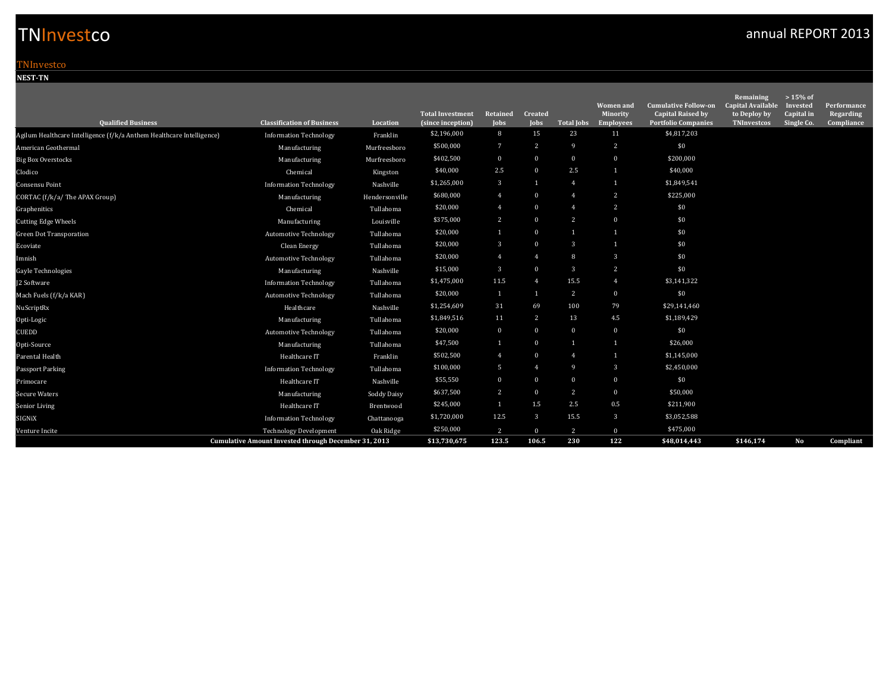TNInvestco **NEST-TN**

| <b>Qualified Business</b>                                             | <b>Classification of Business</b>                    | Location       | <b>Total Investment</b><br>(since inception) | Retained<br>Jobs | Created<br>Jobs | <b>Total Jobs</b> | <b>Women and</b><br>Minority<br><b>Employees</b> | <b>Cumulative Follow-on</b><br><b>Capital Raised by</b><br><b>Portfolio Companies</b> | Remaining<br><b>Capital Available</b><br>to Deploy by<br><b>TNInvestcos</b> | $>15\%$ of<br>Invested<br>Capital in<br>Single Co. | Performance<br>Regarding<br>Compliance |
|-----------------------------------------------------------------------|------------------------------------------------------|----------------|----------------------------------------------|------------------|-----------------|-------------------|--------------------------------------------------|---------------------------------------------------------------------------------------|-----------------------------------------------------------------------------|----------------------------------------------------|----------------------------------------|
| Agilum Healthcare Intelligence (f/k/a Anthem Healthcare Intelligence) | <b>Information Technology</b>                        | Franklin       | \$2,196,000                                  | 8                | 15              | 23                | 11                                               | \$4,817,203                                                                           |                                                                             |                                                    |                                        |
| American Geothermal                                                   | Manufacturing                                        | Murfreesboro   | \$500,000                                    | $\overline{7}$   | 2               | 9                 | 2                                                | \$0                                                                                   |                                                                             |                                                    |                                        |
| <b>Big Box Overstocks</b>                                             | Manufacturing                                        | Murfreesboro   | \$402,500                                    | $\bf{0}$         | $\bf{0}$        | $\mathbf{0}$      | $\mathbf{0}$                                     | \$200,000                                                                             |                                                                             |                                                    |                                        |
| Clodico                                                               | Chemical                                             | Kingston       | \$40,000                                     | 2.5              | $\bf{0}$        | 2.5               | -1                                               | \$40,000                                                                              |                                                                             |                                                    |                                        |
| Consensu Point                                                        | <b>Information Technology</b>                        | Nashville      | \$1,265,000                                  | 3                | $\blacksquare$  | $\overline{4}$    | -1                                               | \$1,849,541                                                                           |                                                                             |                                                    |                                        |
| CORTAC (f/k/a/The APAX Group)                                         | Manufacturing                                        | Hendersonville | \$680,000                                    | 4                | $\Omega$        | $\overline{4}$    | 2                                                | \$225,000                                                                             |                                                                             |                                                    |                                        |
| Graphenitics                                                          | Chemical                                             | Tullahoma      | \$20,000                                     | 4                | $\Omega$        | 4                 | 2                                                | \$0                                                                                   |                                                                             |                                                    |                                        |
| <b>Cutting Edge Wheels</b>                                            | Manufacturing                                        | Louisville     | \$375,000                                    | 2                | $\Omega$        | 2                 | $\Omega$                                         | \$0                                                                                   |                                                                             |                                                    |                                        |
| Green Dot Transporation                                               | <b>Automotive Technology</b>                         | Tullahoma      | \$20,000                                     | $\mathbf{1}$     | $\Omega$        | $\mathbf{1}$      | $\overline{1}$                                   | \$0                                                                                   |                                                                             |                                                    |                                        |
| Ecoviate                                                              | Clean Energy                                         | Tullahoma      | \$20,000                                     | 3                | $\Omega$        | $\overline{3}$    | $\overline{1}$                                   | \$0                                                                                   |                                                                             |                                                    |                                        |
| Imnish                                                                | <b>Automotive Technology</b>                         | Tullahoma      | \$20,000                                     | $\overline{4}$   | $\overline{4}$  | 8                 | $\overline{3}$                                   | \$0                                                                                   |                                                                             |                                                    |                                        |
| Gayle Technologies                                                    | Manufacturing                                        | Nashville      | \$15,000                                     | 3                | $\Omega$        | 3                 | 2                                                | \$0                                                                                   |                                                                             |                                                    |                                        |
| <b>12 Software</b>                                                    | <b>Information Technology</b>                        | Tullahoma      | \$1,475,000                                  | 11.5             | $\overline{4}$  | 15.5              | $\overline{4}$                                   | \$3,141,322                                                                           |                                                                             |                                                    |                                        |
| Mach Fuels (f/k/a KAR)                                                | Automotive Technology                                | Tullahoma      | \$20,000                                     | $\overline{1}$   | -1              | 2                 | $\mathbf{0}$                                     | \$0                                                                                   |                                                                             |                                                    |                                        |
| NuScriptRx                                                            | Healthcare                                           | Nashville      | \$1,254,609                                  | 31               | 69              | 100               | 79                                               | \$29,141,460                                                                          |                                                                             |                                                    |                                        |
| Opti-Logic                                                            | Manufacturing                                        | Tullahoma      | \$1,849,516                                  | 11               | 2               | 13                | 4.5                                              | \$1,189,429                                                                           |                                                                             |                                                    |                                        |
| CUEDD                                                                 | Automotive Technology                                | Tullahoma      | \$20,000                                     | $\bf{0}$         | $\bf{0}$        | $\mathbf{0}$      | $\mathbf{0}$                                     | \$0                                                                                   |                                                                             |                                                    |                                        |
| Opti-Source                                                           | Manufacturing                                        | Tullahoma      | \$47,500                                     | $\mathbf{1}$     | $\bf{0}$        |                   | $\blacksquare$                                   | \$26,000                                                                              |                                                                             |                                                    |                                        |
| Parental Health                                                       | Healthcare IT                                        | Franklin       | \$502,500                                    | $\overline{4}$   | $\mathbf{0}$    | $\overline{4}$    | $\blacksquare$                                   | \$1,145,000                                                                           |                                                                             |                                                    |                                        |
| Passport Parking                                                      | <b>Information Technology</b>                        | Tullahoma      | \$100,000                                    | 5                | $\overline{4}$  | $\mathbf{Q}$      | 3                                                | \$2,450,000                                                                           |                                                                             |                                                    |                                        |
| Primocare                                                             | Healthcare IT                                        | Nashville      | \$55,550                                     | $\bf{0}$         | $\mathbf{0}$    | $\mathbf{0}$      | $\mathbf{0}$                                     | \$0                                                                                   |                                                                             |                                                    |                                        |
| Secure Waters                                                         | Manufacturing                                        | Soddy Daisy    | \$637,500                                    | 2                | $\bf{0}$        | 2                 | $\mathbf{0}$                                     | \$50,000                                                                              |                                                                             |                                                    |                                        |
| Senior Living                                                         | Healthcare IT                                        | Brentwood      | \$245,000                                    | $\mathbf{1}$     | 1.5             | 2.5               | 0.5                                              | \$211,900                                                                             |                                                                             |                                                    |                                        |
| SIGNiX                                                                | <b>Information Technology</b>                        | Chattanooga    | \$1,720,000                                  | 12.5             | $\overline{3}$  | 15.5              | 3                                                | \$3,052,588                                                                           |                                                                             |                                                    |                                        |
| Venture Incite                                                        | <b>Technology Development</b>                        | Oak Ridge      | \$250,000                                    | 2                | $\bf{0}$        | $\overline{c}$    | $\mathbf{0}$                                     | \$475,000                                                                             |                                                                             |                                                    |                                        |
|                                                                       | Cumulative Amount Invested through December 31, 2013 |                | \$13,730,675                                 | 123.5            | 106.5           | 230               | 122                                              | \$48,014,443                                                                          | \$146.174                                                                   | No                                                 | Compliant                              |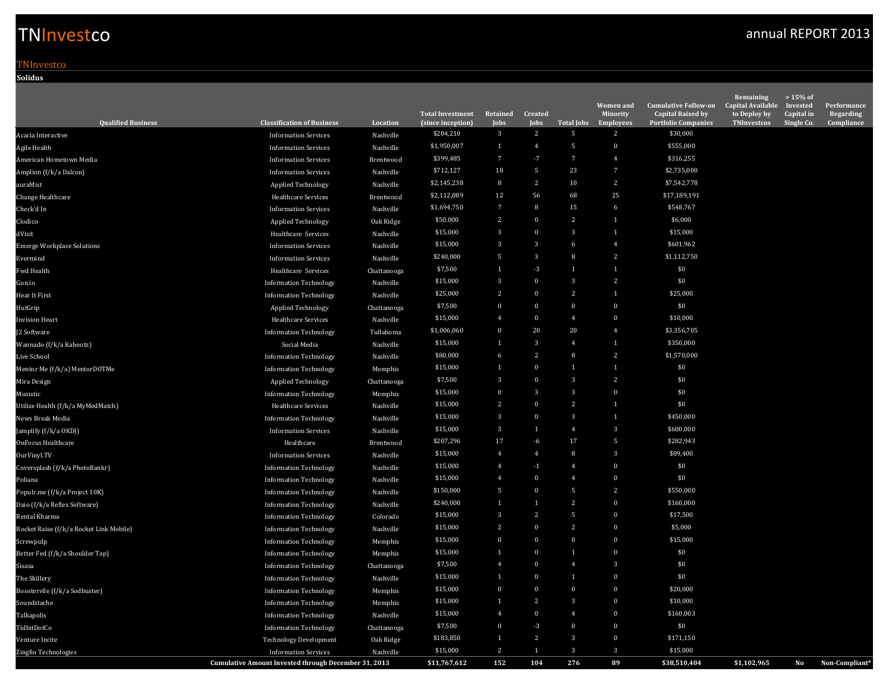TNInvestco **Solidus**

| <b>Qualified Business</b>               | <b>Classification of Business</b>                           | Location    | <b>Total Investment</b><br>(since inception) | Retained<br>Jobs | Created<br>Jobs | Total Jobs     | <b>Women and</b><br>Minority<br><b>Employees</b> | <b>Cumulative Follow-on</b><br><b>Capital Raised by</b><br><b>Portfolio Companies</b> | Remaining<br><b>Capital Available</b><br>to Deploy by<br><b>TNInvestcos</b> | $>15\%$ of<br>Invested<br>Capital in<br>Single Co. | Performance<br>Regarding<br>Compliance |
|-----------------------------------------|-------------------------------------------------------------|-------------|----------------------------------------------|------------------|-----------------|----------------|--------------------------------------------------|---------------------------------------------------------------------------------------|-----------------------------------------------------------------------------|----------------------------------------------------|----------------------------------------|
| Acacia Interactive                      | <b>Information Services</b>                                 | Nashville   | \$204,210                                    | 3                | $\overline{2}$  | 5              | 2                                                | \$30,000                                                                              |                                                                             |                                                    |                                        |
| Agile Health                            | <b>Information Services</b>                                 | Nashville   | \$1,950,007                                  | $\mathbf{1}$     | $\overline{4}$  | 5              | $\mathbf{0}$                                     | \$555,000                                                                             |                                                                             |                                                    |                                        |
| American Hometown Media                 | <b>Information Services</b>                                 | Brentwood   | \$399,485                                    | $\overline{7}$   | $-7$            | 7              | $\overline{4}$                                   | \$316,255                                                                             |                                                                             |                                                    |                                        |
| Amplion (f/k/a Dalcon)                  | <b>Information Services</b>                                 | Nashville   | \$712,127                                    | 18               | 5               | 23             | $\overline{7}$                                   | \$2,735,000                                                                           |                                                                             |                                                    |                                        |
| auraMist                                | Applied Technology                                          | Nashville   | \$2,145,238                                  | 8                | $\overline{2}$  | 10             | 2                                                | \$7,542,778                                                                           |                                                                             |                                                    |                                        |
| Change Healthcare                       | <b>Healthcare Services</b>                                  | Brentwood   | \$2,112,089                                  | 12               | 56              | 68             | 25                                               | \$17,189,191                                                                          |                                                                             |                                                    |                                        |
| Check'd In                              | <b>Information Services</b>                                 | Nashville   | \$1,694,750                                  | $\overline{7}$   | 8               | 15             | 6                                                | \$548,767                                                                             |                                                                             |                                                    |                                        |
| Clodico                                 | <b>Applied Technology</b>                                   | Oak Ridge   | \$50,000                                     | 2                | $\bf{0}$        | $\overline{2}$ | 1                                                | \$6,000                                                                               |                                                                             |                                                    |                                        |
| dVisit                                  | Healthcare Services                                         | Nashville   | \$15,000                                     | 3                | $\mathbf 0$     | 3              | $\overline{1}$                                   | \$15,000                                                                              |                                                                             |                                                    |                                        |
| Emerge Workplace Solutions              | <b>Information Services</b>                                 | Nashville   | \$15,000                                     | 3                | $\mathbf{3}$    | 6              | $\overline{4}$                                   | \$601,962                                                                             |                                                                             |                                                    |                                        |
| Evermind                                | <b>Information Services</b>                                 | Nashville   | \$240,000                                    | 5                | $\overline{3}$  | 8              | 2                                                | \$1,112,750                                                                           |                                                                             |                                                    |                                        |
| Fwd Health                              | Healthcare Services                                         | Chattanooga | \$7,500                                      | $\mathbf{1}$     | $-3$            | $\overline{1}$ | 1                                                | \$0                                                                                   |                                                                             |                                                    |                                        |
| Gun.io                                  | <b>Information Technology</b>                               | Nashville   | \$15,000                                     | 3                | $\bf{0}$        | 3              | 2                                                | \$0                                                                                   |                                                                             |                                                    |                                        |
| Hear It First                           | <b>Information Technology</b>                               | Nashville   | \$25,000                                     | 2                | $\mathbf 0$     | 2              | $\mathbf{1}$                                     | \$25,000                                                                              |                                                                             |                                                    |                                        |
| HutGrip                                 | <b>Applied Technology</b>                                   | Chattanooga | \$7,500                                      | $\bf{0}$         | $\bf{0}$        | $\Omega$       | $\bf{0}$                                         | \$0                                                                                   |                                                                             |                                                    |                                        |
| <b>Invision Heart</b>                   | <b>Healthcare Services</b>                                  | Nashville   | \$15,000                                     | $\overline{4}$   | $\bf{0}$        | $\overline{4}$ | $\bf{0}$                                         | \$10,000                                                                              |                                                                             |                                                    |                                        |
| <b>12 Software</b>                      | <b>Information Technology</b>                               | Tullahoma   | \$1,006,060                                  | $\bf{0}$         | 20              | 20             | $\overline{4}$                                   | \$3,356,705                                                                           |                                                                             |                                                    |                                        |
| Wannado (f/k/a Kahootz)                 | Social Media                                                | Nashville   | \$15,000                                     | $\mathbf{1}$     | $\overline{3}$  | $\overline{4}$ | 1                                                | \$350,000                                                                             |                                                                             |                                                    |                                        |
| Live School                             | <b>Information Technology</b>                               | Nashville   | \$80,000                                     | 6                | $\overline{2}$  | 8              | 2                                                | \$1,570,000                                                                           |                                                                             |                                                    |                                        |
| Mentor Me (f/k/a) MentorDOTMe           | <b>Information Technology</b>                               | Memphis     | \$15,000                                     | $\mathbf{1}$     | $\bf{0}$        | $\mathbf{1}$   | $\mathbf{1}$                                     | \$0                                                                                   |                                                                             |                                                    |                                        |
| Mira Design                             | <b>Applied Technology</b>                                   | Chattanooga | \$7,500                                      | 3                | $\mathbf 0$     | 3              | $\overline{2}$                                   | \$0                                                                                   |                                                                             |                                                    |                                        |
| Musistic                                | <b>Information Technology</b>                               | Memphis     | \$15,000                                     | $\bf{0}$         | $\mathbf{3}$    | 3              | $\bf{0}$                                         | \$0                                                                                   |                                                                             |                                                    |                                        |
| Utilize Health (f/k/a MyMedMatch)       | <b>Healthcare Services</b>                                  | Nashville   | \$15,000                                     | 2                | $\mathbf 0$     | 2              | $\overline{1}$                                   | \$0                                                                                   |                                                                             |                                                    |                                        |
| News Break Media                        | <b>Information Technology</b>                               | Nashville   | \$15,000                                     | $\overline{3}$   | $\bf{0}$        | $\overline{3}$ | 1                                                | \$450,000                                                                             |                                                                             |                                                    |                                        |
| Jamplify (f/k/a OKDJ)                   | <b>Information Services</b>                                 | Nashville   | \$15,000                                     | 3                | $\mathbf{1}$    | $\overline{4}$ | 3                                                | \$600,000                                                                             |                                                                             |                                                    |                                        |
| <b>OnFocus Healthcare</b>               | Healthcare                                                  | Brentwood   | \$207,296                                    | 17               | $-6$            | 17             | 5                                                | \$282,943                                                                             |                                                                             |                                                    |                                        |
| OurVinyl.TV                             | <b>Information Services</b>                                 | Nashville   | \$15,000                                     | $\overline{4}$   | $\overline{4}$  | 8              | 3                                                | \$89,400                                                                              |                                                                             |                                                    |                                        |
| Coversplash (f/k/a PhotoRankr)          | <b>Information Technology</b>                               | Nashville   | \$15,000                                     | $\overline{4}$   | $-1$            | $\overline{4}$ | $\bf{0}$                                         | \$0                                                                                   |                                                                             |                                                    |                                        |
| Poliana                                 | <b>Information Technology</b>                               | Nashville   | \$15,000                                     | $\overline{4}$   | $\bf{0}$        | 4              | $\bf{0}$                                         | \$0                                                                                   |                                                                             |                                                    |                                        |
| Populr.me (f/k/a Project 10K)           | <b>Information Technology</b>                               | Nashville   | \$150,000                                    | 5                | $\mathbf 0$     | 5              | 2                                                | \$550,000                                                                             |                                                                             |                                                    |                                        |
| Daio (f/k/a Reflex Software)            | <b>Information Technology</b>                               | Nashville   | \$240,000                                    | $\mathbf{1}$     | 1               | $\overline{c}$ | $\bf{0}$                                         | \$160,000                                                                             |                                                                             |                                                    |                                        |
| Rental Kharma                           | <b>Information Technology</b>                               | Colorado    | \$15,000                                     | $\overline{3}$   | 2               | 5              | $\bf{0}$                                         | \$17,500                                                                              |                                                                             |                                                    |                                        |
| Rocket Raise (f/k/a Rocket Link Mobile) | <b>Information Technology</b>                               | Nashville   | \$15,000                                     | 2                | $\bf{0}$        | $\overline{2}$ | $\bf{0}$                                         | \$5,000                                                                               |                                                                             |                                                    |                                        |
| Screwpulp                               | <b>Information Technology</b>                               | Memphis     | \$15,000                                     | $\bf{0}$         | $\bf{0}$        | $\mathbf{0}$   | $\bf{0}$                                         | \$15,000                                                                              |                                                                             |                                                    |                                        |
| Better Fed (f/k/a Shoulder Tap)         | <b>Information Technology</b>                               | Memphis     | \$15,000                                     | $\mathbf{1}$     | $\bf{0}$        | $\overline{1}$ | $\bf{0}$                                         | \$0                                                                                   |                                                                             |                                                    |                                        |
| Sisasa                                  | <b>Information Technology</b>                               | Chattanooga | \$7,500                                      | 4                | $\mathbf 0$     | 4              | $\overline{3}$                                   | \$0                                                                                   |                                                                             |                                                    |                                        |
| The Skillery                            | <b>Information Technology</b>                               | Nashville   | \$15,000                                     | 1                | $\mathbf{0}$    | $\overline{1}$ | $\mathbf{0}$                                     | \$0                                                                                   |                                                                             |                                                    |                                        |
| Boostervile (f/k/a Sodbuster)           | <b>Information Technology</b>                               | Memphis     | \$15,000                                     | $\mathbf 0$      | $\mathbf 0$     | $\mathbf{0}$   | $\bf{0}$                                         | \$20,000                                                                              |                                                                             |                                                    |                                        |
| Soundstache                             | <b>Information Technology</b>                               | Memphis     | \$15,000                                     | $\mathbf{1}$     | 2               | 3              | $\bf{0}$                                         | \$10,000                                                                              |                                                                             |                                                    |                                        |
| Talkapolis                              | <b>Information Technology</b>                               | Nashville   | \$15,000                                     | $\overline{4}$   | $\bf{0}$        | 4              | $\bf{0}$                                         | \$160,003                                                                             |                                                                             |                                                    |                                        |
| TidbitDotCo                             | <b>Information Technology</b>                               | Chattanooga | \$7,500                                      | $\bf{0}$         | $-3$            | $\mathbf{0}$   | $\bf{0}$                                         | \$0                                                                                   |                                                                             |                                                    |                                        |
| Venture Incite                          | <b>Technology Development</b>                               | Oak Ridge   | \$183,850                                    | $\mathbf{1}$     | 2               | 3              | $\bf{0}$                                         | \$171,150                                                                             |                                                                             |                                                    |                                        |
| Zingfin Technologies                    | <b>Information Services</b>                                 | Nashville   | \$15,000                                     | 2                | $\mathbf{1}$    | $\overline{3}$ | 3                                                | \$15,000                                                                              |                                                                             |                                                    |                                        |
|                                         | <b>Cumulative Amount Invested through December 31, 2013</b> |             | \$11,767,612                                 | 152              | 104             | 276            | 89                                               | \$38,510,404                                                                          | \$1,102,965                                                                 | No                                                 | Non-Compliant*                         |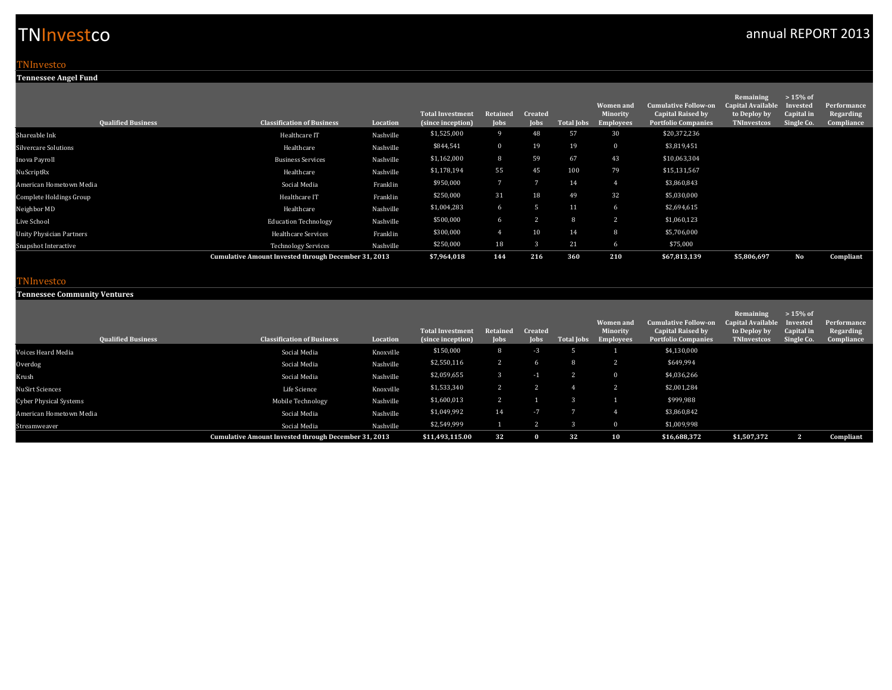#### TNInvestco

**Tennessee Angel Fund**

| <b>Qualified Business</b>       | <b>Classification of Business</b>                           | Location  | <b>Total Investment</b><br>(since inception) | Retained<br>Jobs | Created<br><b>Jobs</b> | <b>Total Jobs</b> | <b>Women</b> and<br><b>Minority</b><br><b>Employees</b> | <b>Cumulative Follow-on</b><br><b>Capital Raised by</b><br>Portfolio Companies | Remaining<br><b>Capital Available</b><br>to Deploy by<br><b>TNInvestcos</b> | $>15\%$ of<br>Invested<br>Capital in<br>Single Co. | Performance<br>Regarding<br>Compliance |
|---------------------------------|-------------------------------------------------------------|-----------|----------------------------------------------|------------------|------------------------|-------------------|---------------------------------------------------------|--------------------------------------------------------------------------------|-----------------------------------------------------------------------------|----------------------------------------------------|----------------------------------------|
| Shareable Ink                   | Healthcare IT                                               | Nashville | \$1,525,000                                  | - 9 -            | 48                     | 57                | 30                                                      | \$20,372,236                                                                   |                                                                             |                                                    |                                        |
| Silvercare Solutions            | Healthcare                                                  | Nashville | \$844,541                                    | $\mathbf{0}$     | 19                     | 19                |                                                         | \$3,819,451                                                                    |                                                                             |                                                    |                                        |
| Inova Payroll                   | <b>Business Services</b>                                    | Nashville | \$1,162,000                                  | 8                | 59                     | 67                | 43                                                      | \$10,063,304                                                                   |                                                                             |                                                    |                                        |
| NuScriptRx                      | Healthcare                                                  | Nashville | \$1,178,194                                  | 55               | 45                     | 100               | 79                                                      | \$15,131,567                                                                   |                                                                             |                                                    |                                        |
| American Hometown Media         | Social Media                                                | Franklin  | \$950,000                                    |                  |                        | 14                | -4                                                      | \$3,860,843                                                                    |                                                                             |                                                    |                                        |
| Complete Holdings Group         | Healthcare IT                                               | Franklin  | \$250,000                                    | 31               | 18                     | 49                | 32                                                      | \$5,030,000                                                                    |                                                                             |                                                    |                                        |
| Neighbor MD                     | Healthcare                                                  | Nashville | \$1,004,283                                  | 6                | - 5                    | 11                | 6                                                       | \$2,694,615                                                                    |                                                                             |                                                    |                                        |
| Live School                     | <b>Education Technology</b>                                 | Nashville | \$500,000                                    | 6                |                        | 8                 | 2                                                       | \$1,060,123                                                                    |                                                                             |                                                    |                                        |
| <b>Unity Physician Partners</b> | <b>Healthcare Services</b>                                  | Franklin  | \$300,000                                    | $\overline{4}$   | 10                     | 14                | 8                                                       | \$5,706,000                                                                    |                                                                             |                                                    |                                        |
| Snapshot Interactive            | <b>Technology Services</b>                                  | Nashville | \$250,000                                    | 18               | 3                      | 21                | 6                                                       | \$75,000                                                                       |                                                                             |                                                    |                                        |
|                                 | <b>Cumulative Amount Invested through December 31, 2013</b> |           | \$7,964,018                                  | 144              | 216                    | 360               | 210                                                     | \$67,813,139                                                                   | \$5,806,697                                                                 | No                                                 | Compliant                              |

TNInvestco

**Tennessee Community Ventures**

| <b>Qualified Business</b>     | <b>Classification of Business</b>                    | Location  | <b>Total Investment</b><br>(since inception) | Retained<br>Jobs | Created<br>Jobs | <b>Total Jobs</b> | Women and<br>Minority<br><b>Employees</b> | <b>Cumulative Follow-on</b><br><b>Capital Raised by</b><br><b>Portfolio Companies</b> | Remaining<br><b>Capital Available</b><br>to Deploy by<br>TNInvestcos | $>15\%$ of<br>Invested<br>Capital in<br>Single Co. | Performance<br>Regarding<br>Compliance |
|-------------------------------|------------------------------------------------------|-----------|----------------------------------------------|------------------|-----------------|-------------------|-------------------------------------------|---------------------------------------------------------------------------------------|----------------------------------------------------------------------|----------------------------------------------------|----------------------------------------|
| Voices Heard Media            | Social Media                                         | Knoxville | \$150,000                                    | 8                | $-3$            |                   |                                           | \$4,130,000                                                                           |                                                                      |                                                    |                                        |
| Overdog                       | Social Media                                         | Nashville | \$2,550,116                                  | $\overline{2}$   |                 | 8                 | 2                                         | \$649,994                                                                             |                                                                      |                                                    |                                        |
| Krush                         | Social Media                                         | Nashville | \$2,059,655                                  | 3                | -1              |                   | $\mathbf{0}$                              | \$4,036,266                                                                           |                                                                      |                                                    |                                        |
| <b>NuSirt Sciences</b>        | Life Science                                         | Knoxville | \$1,533,340                                  | 2                |                 |                   | 2                                         | \$2,001,284                                                                           |                                                                      |                                                    |                                        |
| <b>Cyber Physical Systems</b> | Mobile Technology                                    | Nashville | \$1,600,013                                  | 2                |                 |                   |                                           | \$999,988                                                                             |                                                                      |                                                    |                                        |
| American Hometown Media       | Social Media                                         | Nashville | \$1,049,992                                  | 14               | $-7$            |                   | $\overline{a}$                            | \$3,860,842                                                                           |                                                                      |                                                    |                                        |
| Streamweaver                  | Social Media                                         | Nashville | \$2,549,999                                  |                  |                 |                   | $\mathbf{0}$                              | \$1,009,998                                                                           |                                                                      |                                                    |                                        |
|                               | Cumulative Amount Invested through December 31, 2013 |           | \$11,493,115.00                              | 32               | $\mathbf{u}$    | 32                | 10                                        | \$16,688,372                                                                          | \$1,507,372                                                          | $\mathbf{2}$                                       | Compliant                              |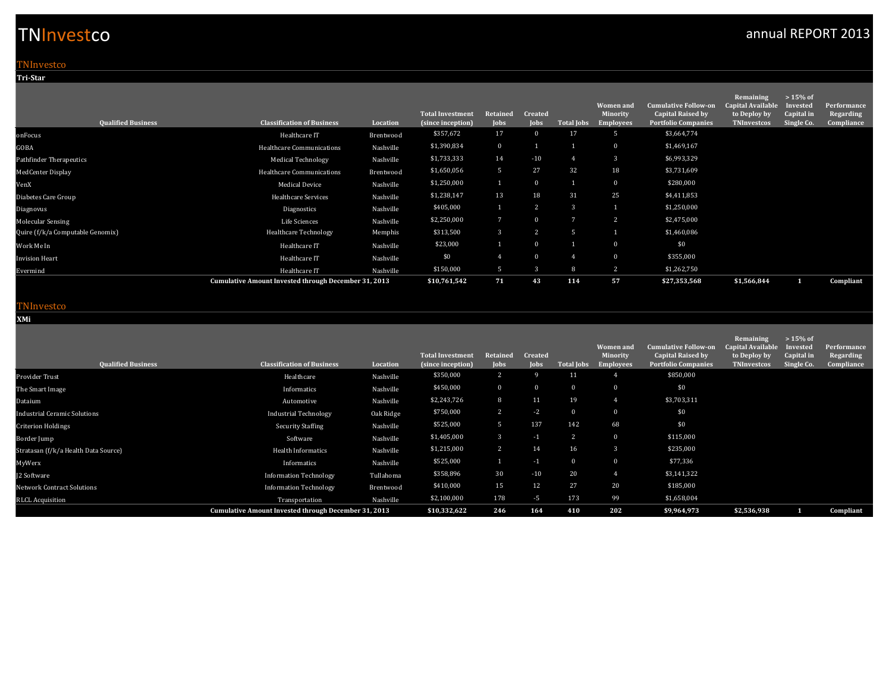TNInvestco **Tri-Star**

| <b>Qualified Business</b>        | <b>Classification of Business</b>                           | Location  | <b>Total Investment</b><br>(since inception) | Retained<br>Jobs | Created<br><b>Iobs</b> | <b>Total Jobs</b> | Women and<br>Minority<br><b>Employees</b> | <b>Cumulative Follow-on</b><br><b>Capital Raised by</b><br><b>Portfolio Companies</b> | Remaining<br><b>Capital Available</b><br>to Deploy by<br><b>TNInvestcos</b> | $>15\%$ of<br>Invested<br>Capital in<br>Single Co. | Performance<br>Regarding<br>Compliance |
|----------------------------------|-------------------------------------------------------------|-----------|----------------------------------------------|------------------|------------------------|-------------------|-------------------------------------------|---------------------------------------------------------------------------------------|-----------------------------------------------------------------------------|----------------------------------------------------|----------------------------------------|
| onFocus                          | Healthcare IT                                               | Brentwood | \$357,672                                    | 17               | $\Omega$               | 17                | - 5                                       | \$3,664,774                                                                           |                                                                             |                                                    |                                        |
| GOBA                             | Healthcare Communications                                   | Nashville | \$1,390,834                                  | $\bf{0}$         |                        |                   | $\Omega$                                  | \$1,469,167                                                                           |                                                                             |                                                    |                                        |
| Pathfinder Therapeutics          | <b>Medical Technology</b>                                   | Nashville | \$1,733,333                                  | 14               | $-10$                  |                   | 3                                         | \$6,993,329                                                                           |                                                                             |                                                    |                                        |
| MedCenter Display                | Healthcare Communications                                   | Brentwood | \$1,650,056                                  | 5                | 27                     | 32                | 18                                        | \$3,731,609                                                                           |                                                                             |                                                    |                                        |
| VenX                             | <b>Medical Device</b>                                       | Nashville | \$1,250,000                                  |                  | $\Omega$               |                   | $\Omega$                                  | \$280,000                                                                             |                                                                             |                                                    |                                        |
| Diabetes Care Group              | <b>Healthcare Services</b>                                  | Nashville | \$1,238,147                                  | 13               | 18                     | 31                | 25                                        | \$4,411,853                                                                           |                                                                             |                                                    |                                        |
| Diagnovus                        | Diagnostics                                                 | Nashville | \$405,000                                    |                  | $\mathbf{2}$           |                   |                                           | \$1,250,000                                                                           |                                                                             |                                                    |                                        |
| Molecular Sensing                | Life Sciences                                               | Nashville | \$2,250,000                                  | 7                | $\Omega$               |                   | 2                                         | \$2,475,000                                                                           |                                                                             |                                                    |                                        |
| Quire (f/k/a Computable Genomix) | <b>Healthcare Technology</b>                                | Memphis   | \$313,500                                    | 3                | 2                      | -5                |                                           | \$1,460,086                                                                           |                                                                             |                                                    |                                        |
| Work Me In                       | Healthcare IT                                               | Nashville | \$23,000                                     |                  | $\Omega$               |                   | $\mathbf{0}$                              | \$0                                                                                   |                                                                             |                                                    |                                        |
| <b>Invision Heart</b>            | Healthcare IT                                               | Nashville | \$0                                          | $\overline{4}$   | -01                    |                   |                                           | \$355,000                                                                             |                                                                             |                                                    |                                        |
| Evermind                         | Healthcare IT                                               | Nashville | \$150,000                                    | 5                | 3                      | 8                 | 2                                         | \$1,262,750                                                                           |                                                                             |                                                    |                                        |
|                                  | <b>Cumulative Amount Invested through December 31, 2013</b> |           | \$10,761,542                                 | 71               | 43                     | 114               | 57                                        | \$27,353,568                                                                          | \$1,566,844                                                                 |                                                    | Compliant                              |

#### **TNInvestco**

**XMi**

| <b>Qualified Business</b>            | <b>Classification of Business</b>                           | Location  | <b>Total Investment</b><br>(since inception) | Retained<br>Jobs | Created<br><b>Jobs</b> | Total Jobs   | <b>Women</b> and<br><b>Minority</b><br><b>Employees</b> | <b>Cumulative Follow-on</b><br><b>Capital Raised by</b><br><b>Portfolio Companies</b> | Remaining<br><b>Capital Available</b><br>to Deploy by<br><b>TNInvestcos</b> | $>15\%$ of<br>Invested<br>Capital in<br>Single Co. | Performance<br>Regarding<br>Compliance |
|--------------------------------------|-------------------------------------------------------------|-----------|----------------------------------------------|------------------|------------------------|--------------|---------------------------------------------------------|---------------------------------------------------------------------------------------|-----------------------------------------------------------------------------|----------------------------------------------------|----------------------------------------|
| Provider Trust                       | Healthcare                                                  | Nashville | \$350,000                                    | 2                | 9                      | 11           |                                                         | \$850,000                                                                             |                                                                             |                                                    |                                        |
| The Smart Image                      | Informatics                                                 | Nashville | \$450,000                                    | $\bf{0}$         | $\mathbf{0}$           | $\mathbf{0}$ | $\mathbf 0$                                             | \$0                                                                                   |                                                                             |                                                    |                                        |
| Dataium                              | Automotive                                                  | Nashville | \$2,243,726                                  | 8                | 11                     | 19           | $\overline{4}$                                          | \$3,703,311                                                                           |                                                                             |                                                    |                                        |
| <b>Industrial Ceramic Solutions</b>  | <b>Industrial Technology</b>                                | Oak Ridge | \$750,000                                    | 2                | $-2$                   | $\bf{0}$     | $\mathbf 0$                                             | \$0                                                                                   |                                                                             |                                                    |                                        |
| <b>Criterion Holdings</b>            | <b>Security Staffing</b>                                    | Nashville | \$525,000                                    | 5                | 137                    | 142          | 68                                                      | \$0                                                                                   |                                                                             |                                                    |                                        |
| Border Jump                          | Software                                                    | Nashville | \$1,405,000                                  | 3                | $-1$                   | 2            | $\theta$                                                | \$115,000                                                                             |                                                                             |                                                    |                                        |
| Stratasan (f/k/a Health Data Source) | <b>Health Informatics</b>                                   | Nashville | \$1,215,000                                  | 2                | 14                     | 16           | 3                                                       | \$235,000                                                                             |                                                                             |                                                    |                                        |
| MyWerx                               | Informatics                                                 | Nashville | \$525,000                                    |                  | $-1$                   | $\bf{0}$     | $\mathbf{0}$                                            | \$77,336                                                                              |                                                                             |                                                    |                                        |
| <b>12 Software</b>                   | <b>Information Technology</b>                               | Tullahoma | \$358,896                                    | 30               | $-10$                  | 20           | $\overline{4}$                                          | \$3,141,322                                                                           |                                                                             |                                                    |                                        |
| Network Contract Solutions           | <b>Information Technology</b>                               | Brentwood | \$410,000                                    | 15               | 12                     | 27           | 20                                                      | \$185,000                                                                             |                                                                             |                                                    |                                        |
| <b>RLCL Acquisition</b>              | Transportation                                              | Nashville | \$2,100,000                                  | 178              | $-5$                   | 173          | 99                                                      | \$1,658,004                                                                           |                                                                             |                                                    |                                        |
|                                      | <b>Cumulative Amount Invested through December 31, 2013</b> |           | \$10,332,622                                 | 246              | 164                    | 410          | 202                                                     | \$9,964,973                                                                           | \$2,536,938                                                                 |                                                    | Compliant                              |